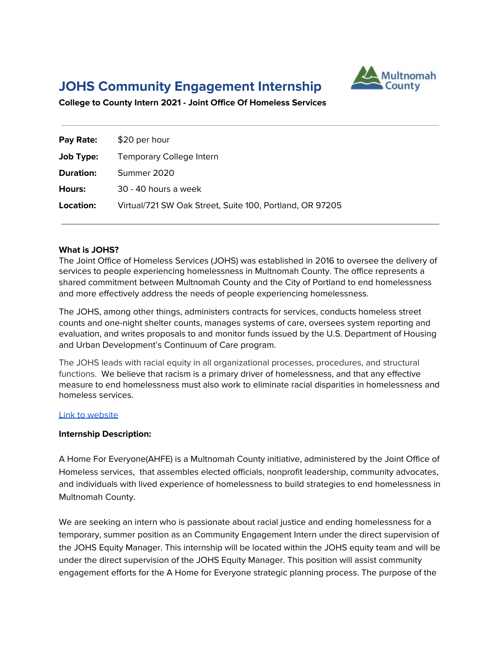# **JOHS Community Engagement Internship**



**College to County Intern 2021 - Joint Office Of Homeless Services**

| Pay Rate:        | \$20 per hour                                            |
|------------------|----------------------------------------------------------|
| <b>Job Type:</b> | Temporary College Intern                                 |
| <b>Duration:</b> | Summer 2020                                              |
| <b>Hours:</b>    | 30 - 40 hours a week                                     |
| Location:        | Virtual/721 SW Oak Street, Suite 100, Portland, OR 97205 |

#### **What is JOHS?**

The Joint Office of Homeless Services (JOHS) was established in 2016 to oversee the delivery of services to people experiencing homelessness in Multnomah County. The office represents a shared commitment between Multnomah County and the City of Portland to end homelessness and more effectively address the needs of people experiencing homelessness.

The JOHS, among other things, administers contracts for services, conducts homeless street counts and one-night shelter counts, manages systems of care, oversees system reporting and evaluation, and writes proposals to and monitor funds issued by the U.S. Department of Housing and Urban Development's Continuum of Care program.

The JOHS leads with racial equity in all organizational processes, procedures, and structural functions. We believe that racism is a primary driver of homelessness, and that any effective measure to end homelessness must also work to eliminate racial disparities in homelessness and homeless services.

#### Link to [website](https://multco.us/joint-office-homeless-services)

#### **Internship Description:**

A Home For Everyone(AHFE) is a Multnomah County initiative, administered by the Joint Office of Homeless services, that assembles elected officials, nonprofit leadership, community advocates, and individuals with lived experience of homelessness to build strategies to end homelessness in Multnomah County.

We are seeking an intern who is passionate about racial justice and ending homelessness for a temporary, summer position as an Community Engagement Intern under the direct supervision of the JOHS Equity Manager. This internship will be located within the JOHS equity team and will be under the direct supervision of the JOHS Equity Manager. This position will assist community engagement efforts for the A Home for Everyone strategic planning process. The purpose of the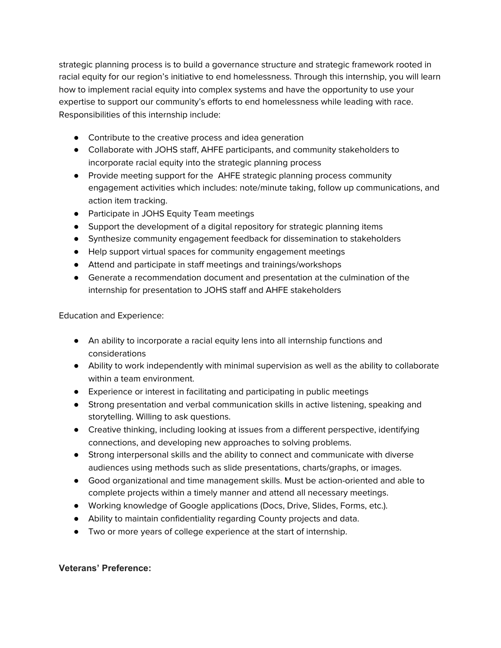strategic planning process is to build a governance structure and strategic framework rooted in racial equity for our region's initiative to end homelessness. Through this internship, you will learn how to implement racial equity into complex systems and have the opportunity to use your expertise to support our community's efforts to end homelessness while leading with race. Responsibilities of this internship include:

- Contribute to the creative process and idea generation
- Collaborate with JOHS staff, AHFE participants, and community stakeholders to incorporate racial equity into the strategic planning process
- Provide meeting support for the AHFE strategic planning process community engagement activities which includes: note/minute taking, follow up communications, and action item tracking.
- Participate in JOHS Equity Team meetings
- Support the development of a digital repository for strategic planning items
- Synthesize community engagement feedback for dissemination to stakeholders
- Help support virtual spaces for community engagement meetings
- Attend and participate in staff meetings and trainings/workshops
- Generate a recommendation document and presentation at the culmination of the internship for presentation to JOHS staff and AHFE stakeholders

Education and Experience:

- An ability to incorporate a racial equity lens into all internship functions and considerations
- Ability to work independently with minimal supervision as well as the ability to collaborate within a team environment.
- Experience or interest in facilitating and participating in public meetings
- Strong presentation and verbal communication skills in active listening, speaking and storytelling. Willing to ask questions.
- Creative thinking, including looking at issues from a different perspective, identifying connections, and developing new approaches to solving problems.
- Strong interpersonal skills and the ability to connect and communicate with diverse audiences using methods such as slide presentations, charts/graphs, or images.
- Good organizational and time management skills. Must be action-oriented and able to complete projects within a timely manner and attend all necessary meetings.
- Working knowledge of Google applications (Docs, Drive, Slides, Forms, etc.).
- Ability to maintain confidentiality regarding County projects and data.
- Two or more years of college experience at the start of internship.

## **Veterans' Preference:**